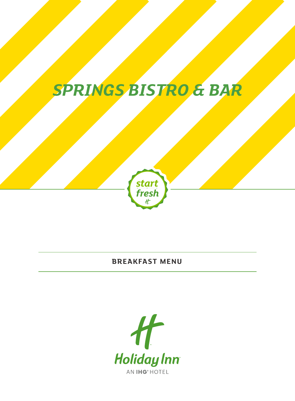# *SPRINGS BISTRO & BAR*



### **BREAKFAST MENU**